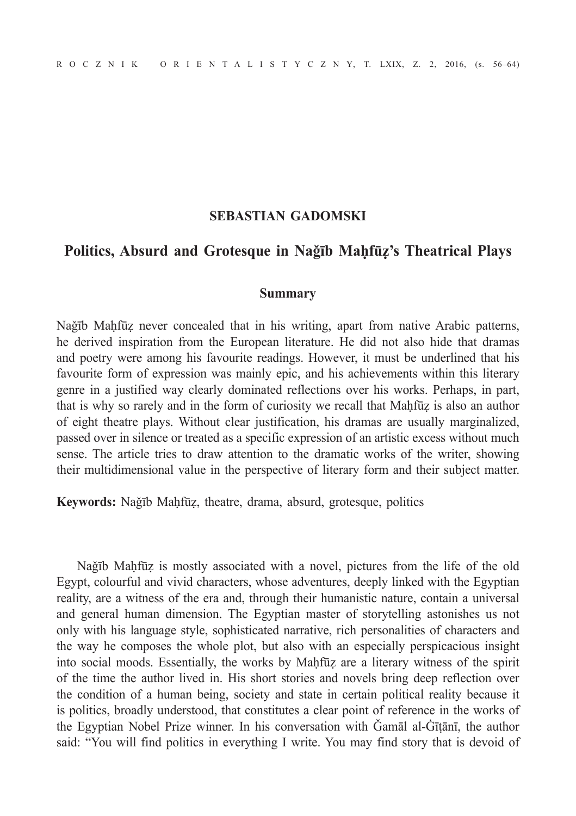## **SEBASTIAN GADOMSKI**

## **Politics, Absurd and Grotesque in Naǧīb Maḥfūẓ's Theatrical Plays**

## **Summary**

Naǧīb Maḥfūẓ never concealed that in his writing, apart from native Arabic patterns, he derived inspiration from the European literature. He did not also hide that dramas and poetry were among his favourite readings. However, it must be underlined that his favourite form of expression was mainly epic, and his achievements within this literary genre in a justified way clearly dominated reflections over his works. Perhaps, in part, that is why so rarely and in the form of curiosity we recall that Maḥfūẓ is also an author of eight theatre plays. Without clear justification, his dramas are usually marginalized, passed over in silence or treated as a specific expression of an artistic excess without much sense. The article tries to draw attention to the dramatic works of the writer, showing their multidimensional value in the perspective of literary form and their subject matter.

**Keywords:** Naǧīb Maḥfūẓ, theatre, drama, absurd, grotesque, politics

Naǧīb Maḥfūẓ is mostly associated with a novel, pictures from the life of the old Egypt, colourful and vivid characters, whose adventures, deeply linked with the Egyptian reality, are a witness of the era and, through their humanistic nature, contain a universal and general human dimension. The Egyptian master of storytelling astonishes us not only with his language style, sophisticated narrative, rich personalities of characters and the way he composes the whole plot, but also with an especially perspicacious insight into social moods. Essentially, the works by Maḥfūẓ are a literary witness of the spirit of the time the author lived in. His short stories and novels bring deep reflection over the condition of a human being, society and state in certain political reality because it is politics, broadly understood, that constitutes a clear point of reference in the works of the Egyptian Nobel Prize winner. In his conversation with Ǧamāl al-Ġīṭānī, the author said: "You will find politics in everything I write. You may find story that is devoid of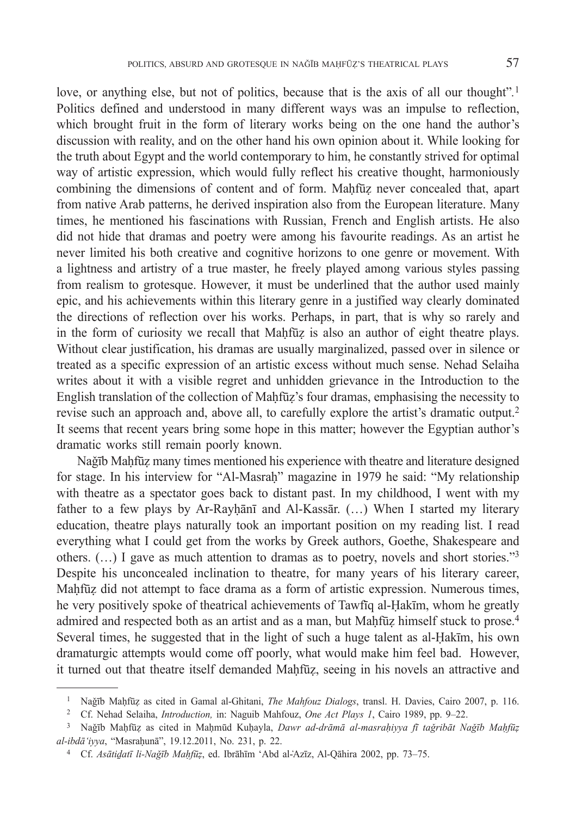love, or anything else, but not of politics, because that is the axis of all our thought"*.* 1 Politics defined and understood in many different ways was an impulse to reflection, which brought fruit in the form of literary works being on the one hand the author's discussion with reality, and on the other hand his own opinion about it. While looking for the truth about Egypt and the world contemporary to him, he constantly strived for optimal way of artistic expression, which would fully reflect his creative thought, harmoniously combining the dimensions of content and of form. Maḥfūẓ never concealed that, apart from native Arab patterns, he derived inspiration also from the European literature. Many times, he mentioned his fascinations with Russian, French and English artists. He also did not hide that dramas and poetry were among his favourite readings. As an artist he never limited his both creative and cognitive horizons to one genre or movement. With a lightness and artistry of a true master, he freely played among various styles passing from realism to grotesque. However, it must be underlined that the author used mainly epic, and his achievements within this literary genre in a justified way clearly dominated the directions of reflection over his works. Perhaps, in part, that is why so rarely and in the form of curiosity we recall that Maḥfūẓ is also an author of eight theatre plays. Without clear justification, his dramas are usually marginalized, passed over in silence or treated as a specific expression of an artistic excess without much sense. Nehad Selaiha writes about it with a visible regret and unhidden grievance in the Introduction to the English translation of the collection of Maḥfūẓ's four dramas, emphasising the necessity to revise such an approach and, above all, to carefully explore the artist's dramatic output.2 It seems that recent years bring some hope in this matter; however the Egyptian author's dramatic works still remain poorly known.

Naǧīb Maḥfūẓ many times mentioned his experience with theatre and literature designed for stage. In his interview for "Al-Masrah" magazine in 1979 he said: "My relationship with theatre as a spectator goes back to distant past. In my childhood, I went with my father to a few plays by Ar-Rayḥānī and Al-Kassār. (…) When I started my literary education, theatre plays naturally took an important position on my reading list. I read everything what I could get from the works by Greek authors, Goethe, Shakespeare and others. (…) I gave as much attention to dramas as to poetry, novels and short stories."3 Despite his unconcealed inclination to theatre, for many years of his literary career, Maḥfūẓ did not attempt to face drama as a form of artistic expression. Numerous times, he very positively spoke of theatrical achievements of Tawfīq al-Ḥakīm, whom he greatly admired and respected both as an artist and as a man, but Mahfūz himself stuck to prose.<sup>4</sup> Several times, he suggested that in the light of such a huge talent as al-Ḥakīm, his own dramaturgic attempts would come off poorly, what would make him feel bad. However, it turned out that theatre itself demanded Maḥfūẓ, seeing in his novels an attractive and

<sup>&</sup>lt;sup>1</sup> Nağīb Maḥfūz as cited in Gamal al-Ghitani, *The Mahfouz Dialogs*, transl. H. Davies, Cairo 2007, p. 116.<br><sup>2</sup> Cf. Nehad Selaiha, *Introduction*, in: Naguib Mahfouz, *One Act Plays 1*, Cairo 1989, pp. 9–22.<br><sup>3</sup> Nağīb Mah

*al-ibdā'iyya*, "Masraḥunā", 19.12.2011, No. 231, p. 22.

<sup>4</sup> Cf. *Asātiḏatī li-Naǧīb Maḥfūẓ*, ed. Ibrāhīm 'Abd al-Az ̒ īz, Al-Qāhira 2002, pp. 73–75.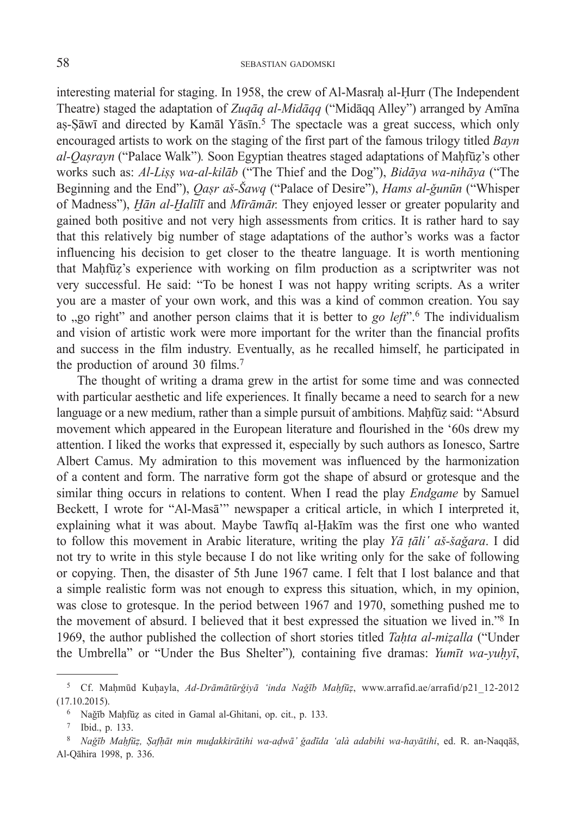interesting material for staging. In 1958, the crew of Al-Masrah al-Hurr (The Independent Theatre) staged the adaptation of *Zuqāq al-Midāqq* ("Midāqq Alley") arranged by Amīna as-Sāwī and directed by Kamāl Yāsīn.<sup>5</sup> The spectacle was a great success, which only encouraged artists to work on the staging of the first part of the famous trilogy titled *Bayn al-Qaṣrayn* ("Palace Walk")*.* Soon Egyptian theatres staged adaptations of Maḥfūẓ's other works such as: *Al-Liṣṣ wa-al-kilāb* ("The Thief and the Dog"), *Bidāya wa-nihāya* ("The Beginning and the End"), *Qaṣr aš-Šawq* ("Palace of Desire"), *Hams al-ǧunūn* ("Whisper of Madness"), *H̠ān al-H̠alīlī* and *Mīrāmār.* They enjoyed lesser or greater popularity and gained both positive and not very high assessments from critics. It is rather hard to say that this relatively big number of stage adaptations of the author's works was a factor influencing his decision to get closer to the theatre language. It is worth mentioning that Maḥfūẓ's experience with working on film production as a scriptwriter was not very successful. He said: "To be honest I was not happy writing scripts. As a writer you are a master of your own work, and this was a kind of common creation. You say to <sub>v</sub>go right" and another person claims that it is better to *go left*".<sup>6</sup> The individualism and vision of artistic work were more important for the writer than the financial profits and success in the film industry. Eventually, as he recalled himself, he participated in the production of around 30 films.<sup>7</sup>

The thought of writing a drama grew in the artist for some time and was connected with particular aesthetic and life experiences. It finally became a need to search for a new language or a new medium, rather than a simple pursuit of ambitions. Mahfūz said: "Absurd movement which appeared in the European literature and flourished in the '60s drew my attention. I liked the works that expressed it, especially by such authors as Ionesco, Sartre Albert Camus. My admiration to this movement was influenced by the harmonization of a content and form. The narrative form got the shape of absurd or grotesque and the similar thing occurs in relations to content. When I read the play *Endgame* by Samuel Beckett, I wrote for "Al-Masā'" newspaper a critical article, in which I interpreted it, explaining what it was about. Maybe Tawfīq al-Ḥakīm was the first one who wanted to follow this movement in Arabic literature, writing the play *Y*<sup>*a*</sup> *ta*<sup>*li*</sup> *aš-šağara*. I did not try to write in this style because I do not like writing only for the sake of following or copying. Then, the disaster of 5th June 1967 came. I felt that I lost balance and that a simple realistic form was not enough to express this situation, which, in my opinion, was close to grotesque. In the period between 1967 and 1970, something pushed me to the movement of absurd. I believed that it best expressed the situation we lived in."8 In 1969, the author published the collection of short stories titled *Taḥta al-miẓalla* ("Under the Umbrella" or "Under the Bus Shelter")*,* containing five dramas: *Yumīt wa-yuḥyī*,

<sup>5</sup> Cf. Maḥmūd Kuḥayla, *Ad-Drāmātūrǧiyā 'inda Naǧīb Maḥfūẓ*, www.arrafid.ae/arrafid/p21\_12-2012 (17.10.2015).  $\frac{6}{5}$  Naặīb Maḥfūẓ as cited in Gamal al-Ghitani, op. cit., p. 133.

<sup>7</sup> Ibid., p. 133.

<sup>&</sup>lt;sup>8</sup> Nağīb Mahfūz, Şafhāt min mudakkirātihi wa-adwā' ğadīda 'alà adabihi wa-hayātihi, ed. R. an-Naqqāš, Al-Qāhira 1998, p. 336.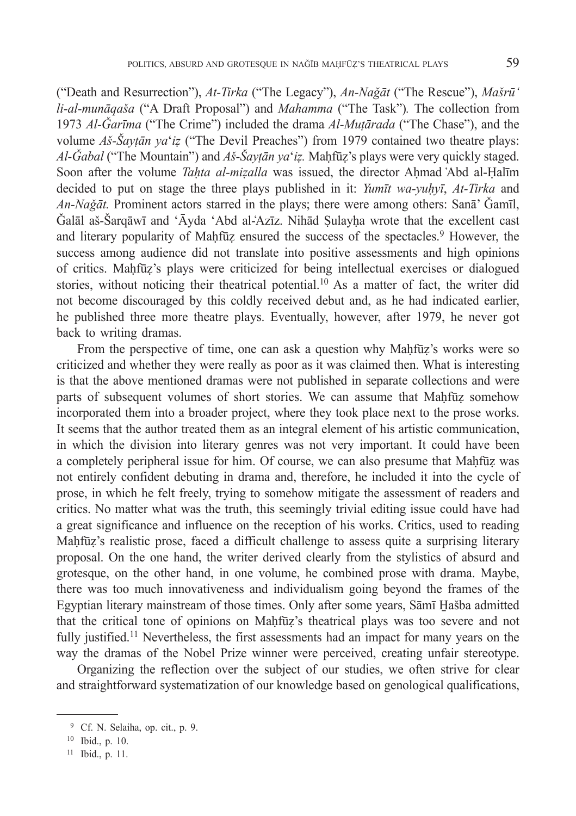("Death and Resurrection"), *At-Tirka* ("The Legacy"), *An-Naǧāt* ("The Rescue"), *Mašrū' li-al-munāqaša* ("A Draft Proposal") and *Mahamma* ("The Task")*.* The collection from 1973 *Al-Ǧarīma* ("The Crime") included the drama *Al-Muṭārada* ("The Chase"), and the volume *Aš-Šayṭān ya*'*iẓ* ("The Devil Preaches") from 1979 contained two theatre plays: *Al-Ǧabal* ("The Mountain") and *Aš-Šayṭān ya*'*iẓ.* Maḥfūẓ's plays were very quickly staged. Soon after the volume *Tahta al-mizalla* was issued, the director Ahmad Abd al-Halim decided to put on stage the three plays published in it: *Yumīt wa-yuḥyī*, *At-Tirka* and *An-Naǧāt.* Prominent actors starred in the plays; there were among others: Sanā' Ǧamīl, Ǧalāl aš-Šarqāwī and 'Āyda 'Abd al-Az ̒ īz. Nihād Ṣulayḥa wrote that the excellent cast and literary popularity of Maḥfūz ensured the success of the spectacles.<sup>9</sup> However, the success among audience did not translate into positive assessments and high opinions of critics. Maḥfūẓ's plays were criticized for being intellectual exercises or dialogued stories, without noticing their theatrical potential.10 As a matter of fact, the writer did not become discouraged by this coldly received debut and, as he had indicated earlier, he published three more theatre plays. Eventually, however, after 1979, he never got back to writing dramas.

From the perspective of time, one can ask a question why Maḥfūẓ's works were so criticized and whether they were really as poor as it was claimed then. What is interesting is that the above mentioned dramas were not published in separate collections and were parts of subsequent volumes of short stories. We can assume that Mahfūz somehow incorporated them into a broader project, where they took place next to the prose works. It seems that the author treated them as an integral element of his artistic communication, in which the division into literary genres was not very important. It could have been a completely peripheral issue for him. Of course, we can also presume that Maḥfūẓ was not entirely confident debuting in drama and, therefore, he included it into the cycle of prose, in which he felt freely, trying to somehow mitigate the assessment of readers and critics. No matter what was the truth, this seemingly trivial editing issue could have had a great significance and influence on the reception of his works. Critics, used to reading Maḥfūẓ's realistic prose, faced a difficult challenge to assess quite a surprising literary proposal. On the one hand, the writer derived clearly from the stylistics of absurd and grotesque, on the other hand, in one volume, he combined prose with drama. Maybe, there was too much innovativeness and individualism going beyond the frames of the Egyptian literary mainstream of those times. Only after some years, Sāmī H̠ašba admitted that the critical tone of opinions on Maḥfūẓ's theatrical plays was too severe and not fully justified.<sup>11</sup> Nevertheless, the first assessments had an impact for many years on the way the dramas of the Nobel Prize winner were perceived, creating unfair stereotype.

Organizing the reflection over the subject of our studies, we often strive for clear and straightforward systematization of our knowledge based on genological qualifications,

 <sup>9</sup> Cf. N. Selaiha, op. cit., p. 9.

<sup>10</sup> Ibid., p. 10.

<sup>11</sup> Ibid., p. 11.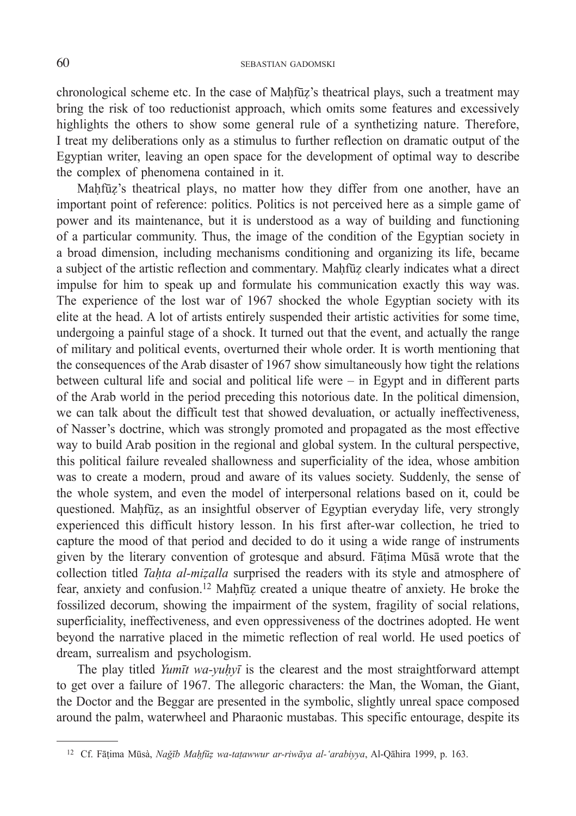chronological scheme etc. In the case of Maḥfūz's theatrical plays, such a treatment may bring the risk of too reductionist approach, which omits some features and excessively highlights the others to show some general rule of a synthetizing nature. Therefore, I treat my deliberations only as a stimulus to further reflection on dramatic output of the Egyptian writer, leaving an open space for the development of optimal way to describe the complex of phenomena contained in it.

Maḥfūẓ's theatrical plays, no matter how they differ from one another, have an important point of reference: politics. Politics is not perceived here as a simple game of power and its maintenance, but it is understood as a way of building and functioning of a particular community. Thus, the image of the condition of the Egyptian society in a broad dimension, including mechanisms conditioning and organizing its life, became a subject of the artistic reflection and commentary. Maḥfūẓ clearly indicates what a direct impulse for him to speak up and formulate his communication exactly this way was. The experience of the lost war of 1967 shocked the whole Egyptian society with its elite at the head. A lot of artists entirely suspended their artistic activities for some time, undergoing a painful stage of a shock. It turned out that the event, and actually the range of military and political events, overturned their whole order. It is worth mentioning that the consequences of the Arab disaster of 1967 show simultaneously how tight the relations between cultural life and social and political life were – in Egypt and in different parts of the Arab world in the period preceding this notorious date. In the political dimension, we can talk about the difficult test that showed devaluation, or actually ineffectiveness, of Nasser's doctrine, which was strongly promoted and propagated as the most effective way to build Arab position in the regional and global system. In the cultural perspective, this political failure revealed shallowness and superficiality of the idea, whose ambition was to create a modern, proud and aware of its values society. Suddenly, the sense of the whole system, and even the model of interpersonal relations based on it, could be questioned. Maḥfūẓ, as an insightful observer of Egyptian everyday life, very strongly experienced this difficult history lesson. In his first after-war collection, he tried to capture the mood of that period and decided to do it using a wide range of instruments given by the literary convention of grotesque and absurd. Fāṭima Mūsā wrote that the collection titled *Tahta al-mizalla* surprised the readers with its style and atmosphere of fear, anxiety and confusion.12 Maḥfūẓ created a unique theatre of anxiety. He broke the fossilized decorum, showing the impairment of the system, fragility of social relations, superficiality, ineffectiveness, and even oppressiveness of the doctrines adopted. He went beyond the narrative placed in the mimetic reflection of real world. He used poetics of dream, surrealism and psychologism.

The play titled *Yumīt wa-yuḥyī* is the clearest and the most straightforward attempt to get over a failure of 1967. The allegoric characters: the Man, the Woman, the Giant, the Doctor and the Beggar are presented in the symbolic, slightly unreal space composed around the palm, waterwheel and Pharaonic mustabas. This specific entourage, despite its

<sup>12</sup> Cf. Fāṭima Mūsà, *Naǧīb Maḥfūẓ wa-taṭawwur ar-riwāya al-'arabiyya*, Al-Qāhira 1999, p. 163.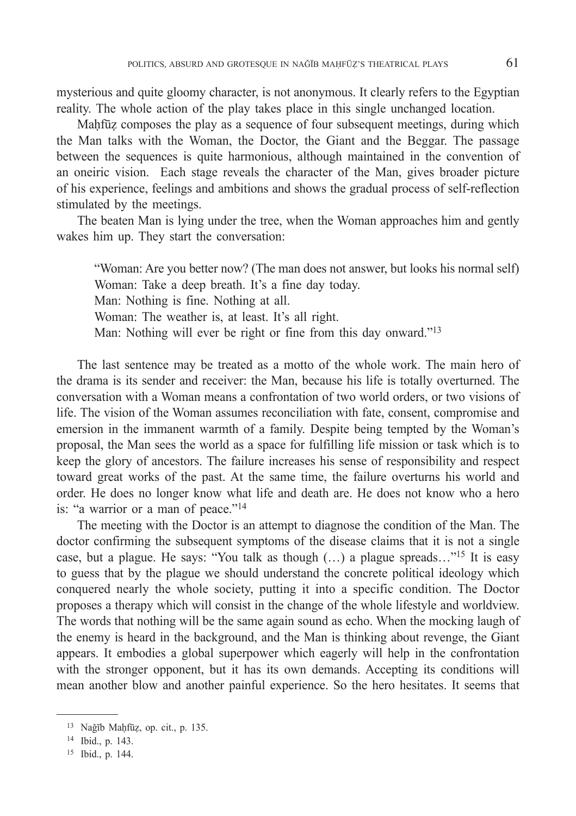mysterious and quite gloomy character, is not anonymous. It clearly refers to the Egyptian reality. The whole action of the play takes place in this single unchanged location.

Maḥfūẓ composes the play as a sequence of four subsequent meetings, during which the Man talks with the Woman, the Doctor, the Giant and the Beggar. The passage between the sequences is quite harmonious, although maintained in the convention of an oneiric vision. Each stage reveals the character of the Man, gives broader picture of his experience, feelings and ambitions and shows the gradual process of self-reflection stimulated by the meetings.

The beaten Man is lying under the tree, when the Woman approaches him and gently wakes him up. They start the conversation:

"Woman: Are you better now? (The man does not answer, but looks his normal self) Woman: Take a deep breath. It's a fine day today. Man: Nothing is fine. Nothing at all. Woman: The weather is, at least. It's all right. Man: Nothing will ever be right or fine from this day onward."13

The last sentence may be treated as a motto of the whole work. The main hero of the drama is its sender and receiver: the Man, because his life is totally overturned. The conversation with a Woman means a confrontation of two world orders, or two visions of life. The vision of the Woman assumes reconciliation with fate, consent, compromise and emersion in the immanent warmth of a family. Despite being tempted by the Woman's proposal, the Man sees the world as a space for fulfilling life mission or task which is to keep the glory of ancestors. The failure increases his sense of responsibility and respect toward great works of the past. At the same time, the failure overturns his world and order. He does no longer know what life and death are. He does not know who a hero is: "a warrior or a man of peace."14

The meeting with the Doctor is an attempt to diagnose the condition of the Man. The doctor confirming the subsequent symptoms of the disease claims that it is not a single case, but a plague. He says: "You talk as though (…) a plague spreads…"15 It is easy to guess that by the plague we should understand the concrete political ideology which conquered nearly the whole society, putting it into a specific condition. The Doctor proposes a therapy which will consist in the change of the whole lifestyle and worldview. The words that nothing will be the same again sound as echo. When the mocking laugh of the enemy is heard in the background, and the Man is thinking about revenge, the Giant appears. It embodies a global superpower which eagerly will help in the confrontation with the stronger opponent, but it has its own demands. Accepting its conditions will mean another blow and another painful experience. So the hero hesitates. It seems that

<sup>13</sup> Naǧīb Maḥfūẓ, op. cit., p. 135.

<sup>14</sup> Ibid., p. 143.

<sup>15</sup> Ibid., p. 144.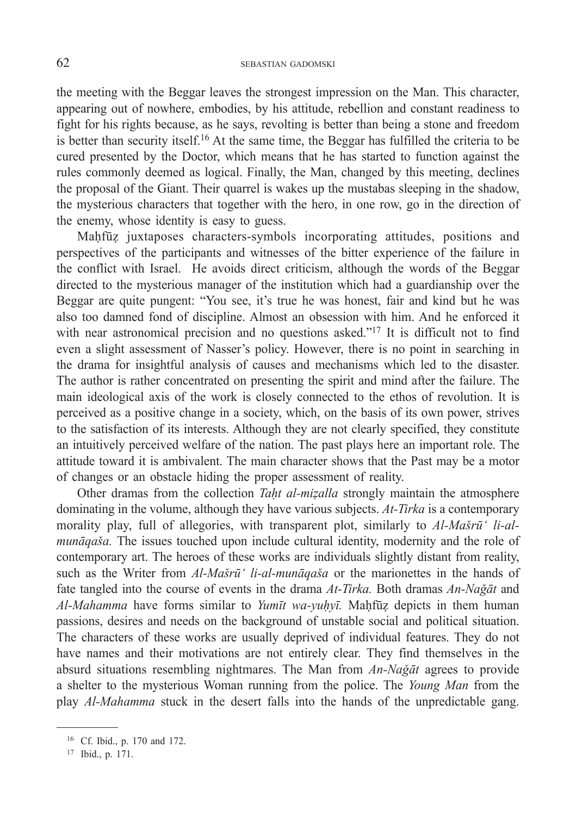the meeting with the Beggar leaves the strongest impression on the Man. This character, appearing out of nowhere, embodies, by his attitude, rebellion and constant readiness to fight for his rights because, as he says, revolting is better than being a stone and freedom is better than security itself.16 At the same time, the Beggar has fulfilled the criteria to be cured presented by the Doctor, which means that he has started to function against the rules commonly deemed as logical. Finally, the Man, changed by this meeting, declines the proposal of the Giant. Their quarrel is wakes up the mustabas sleeping in the shadow, the mysterious characters that together with the hero, in one row, go in the direction of the enemy, whose identity is easy to guess.

Maḥfūẓ juxtaposes characters-symbols incorporating attitudes, positions and perspectives of the participants and witnesses of the bitter experience of the failure in the conflict with Israel. He avoids direct criticism, although the words of the Beggar directed to the mysterious manager of the institution which had a guardianship over the Beggar are quite pungent: "You see, it's true he was honest, fair and kind but he was also too damned fond of discipline. Almost an obsession with him. And he enforced it with near astronomical precision and no questions asked."<sup>17</sup> It is difficult not to find even a slight assessment of Nasser's policy. However, there is no point in searching in the drama for insightful analysis of causes and mechanisms which led to the disaster. The author is rather concentrated on presenting the spirit and mind after the failure. The main ideological axis of the work is closely connected to the ethos of revolution. It is perceived as a positive change in a society, which, on the basis of its own power, strives to the satisfaction of its interests. Although they are not clearly specified, they constitute an intuitively perceived welfare of the nation. The past plays here an important role. The attitude toward it is ambivalent. The main character shows that the Past may be a motor of changes or an obstacle hiding the proper assessment of reality.

Other dramas from the collection *Taḥt al-miẓalla* strongly maintain the atmosphere dominating in the volume, although they have various subjects. *At-Tirka* is a contemporary morality play, full of allegories, with transparent plot, similarly to *Al-Mašrū' li-almunāqaša.* The issues touched upon include cultural identity, modernity and the role of contemporary art. The heroes of these works are individuals slightly distant from reality, such as the Writer from *Al-Mašrū' li-al-munāqaša* or the marionettes in the hands of fate tangled into the course of events in the drama *At-Tirka.* Both dramas *An-Naǧāt* and *Al-Mahamma* have forms similar to *Yumīt wa-yuḥyī.* Maḥfūẓ depicts in them human passions, desires and needs on the background of unstable social and political situation. The characters of these works are usually deprived of individual features. They do not have names and their motivations are not entirely clear. They find themselves in the absurd situations resembling nightmares. The Man from *An-Naǧāt* agrees to provide a shelter to the mysterious Woman running from the police. The *Young Man* from the play *Al-Mahamma* stuck in the desert falls into the hands of the unpredictable gang.

<sup>16</sup> Cf. Ibid., p. 170 and 172.

<sup>17</sup> Ibid., p. 171.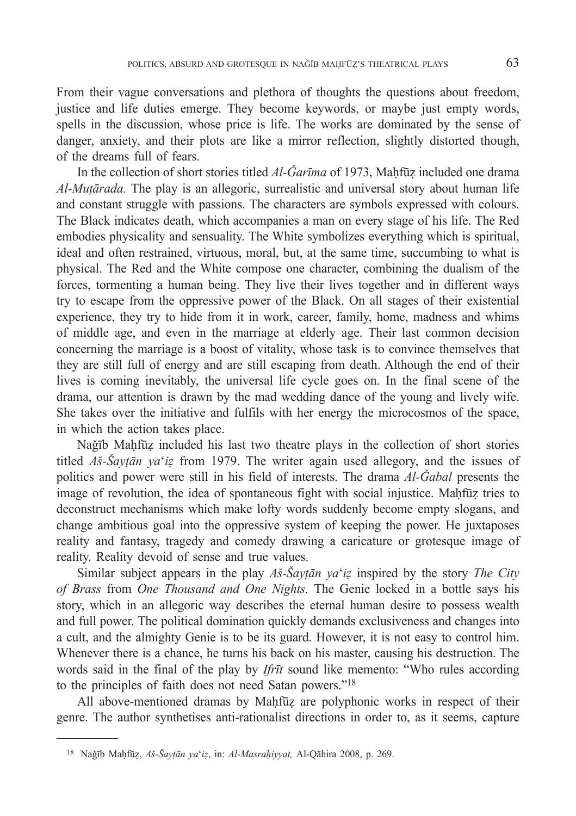From their vague conversations and plethora of thoughts the questions about freedom, justice and life duties emerge. They become keywords, or maybe just empty words, spells in the discussion, whose price is life. The works are dominated by the sense of danger, anxiety, and their plots are like a mirror reflection, slightly distorted though, of the dreams full of fears.

In the collection of short stories titled *Al-Ǧarīma* of 1973, Maḥfūẓ included one drama *Al-Muṭārada.* The play is an allegoric, surrealistic and universal story about human life and constant struggle with passions. The characters are symbols expressed with colours. The Black indicates death, which accompanies a man on every stage of his life. The Red embodies physicality and sensuality. The White symbolizes everything which is spiritual, ideal and often restrained, virtuous, moral, but, at the same time, succumbing to what is physical. The Red and the White compose one character, combining the dualism of the forces, tormenting a human being. They live their lives together and in different ways try to escape from the oppressive power of the Black. On all stages of their existential experience, they try to hide from it in work, career, family, home, madness and whims of middle age, and even in the marriage at elderly age. Their last common decision concerning the marriage is a boost of vitality, whose task is to convince themselves that they are still full of energy and are still escaping from death. Although the end of their lives is coming inevitably, the universal life cycle goes on. In the final scene of the drama, our attention is drawn by the mad wedding dance of the young and lively wife. She takes over the initiative and fulfils with her energy the microcosmos of the space, in which the action takes place.

Naǧīb Maḥfūẓ included his last two theatre plays in the collection of short stories titled *Aš-Šayṭān ya*'*iẓ* from 1979. The writer again used allegory, and the issues of politics and power were still in his field of interests. The drama *Al-Ǧabal* presents the image of revolution, the idea of spontaneous fight with social injustice. Mahfūz tries to deconstruct mechanisms which make lofty words suddenly become empty slogans, and change ambitious goal into the oppressive system of keeping the power. He juxtaposes reality and fantasy, tragedy and comedy drawing a caricature or grotesque image of reality. Reality devoid of sense and true values.

Similar subject appears in the play *Aš-Šayṭān ya*'*iẓ* inspired by the story *The City of Brass* from *One Thousand and One Nights.* The Genie locked in a bottle says his story, which in an allegoric way describes the eternal human desire to possess wealth and full power. The political domination quickly demands exclusiveness and changes into a cult, and the almighty Genie is to be its guard. However, it is not easy to control him. Whenever there is a chance, he turns his back on his master, causing his destruction. The words said in the final of the play by *Ifrīt* sound like memento: "Who rules according to the principles of faith does not need Satan powers."18

All above-mentioned dramas by Maḥfūz are polyphonic works in respect of their genre. The author synthetises anti-rationalist directions in order to, as it seems, capture

<sup>18</sup> Naǧīb Maḥfūẓ, *Aš-Šayṭān ya*'*iẓ*, in: *Al-Masraḥiyyat,* Al-Qāhira 2008, p. 269.